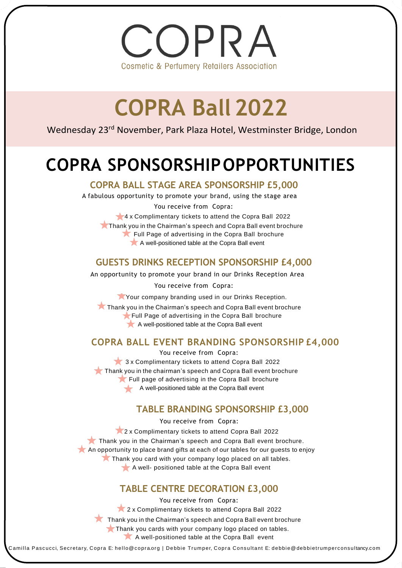OPRA **Cosmetic & Perfumery Retailers Association** 

# **COPRA Ball 2022**

Wednesday 23<sup>rd</sup> November, Park Plaza Hotel, Westminster Bridge, London

# **COPRA SPONSORSHIPOPPORTUNITIES**

#### **COPRA BALL STAGE AREA SPONSORSHIP £5,000**

A fabulous opportunity to promote your brand, using the stage area You receive from Copra:

4 x Complimentary tickets to attend the Copra Ball 2022

Thank you in the Chairman's speech and Copra Ball event brochure Full Page of advertising in the Copra Ball brochure A well-positioned table at the Copra Ball event

## **GUESTS DRINKS RECEPTION SPONSORSHIP £4,000**

An opportunity to promote your brand in our Drinks Reception Area

You receive from Copra:

Your company branding used in our Drinks Reception.

**Thank you in the Chairman's speech and Copra Ball event brochure** Full Page of advertising in the Copra Ball brochure

A well-positioned table at the Copra Ball event

## **COPRA BALL EVENT BRANDING SPONSORSHIP £4,000**

You receive from Copra: 3 x Complimentary tickets to attend Copra Ball 2022 **Thank you in the chairman's speech and Copra Ball event brochure** Full page of advertising in the Copra Ball brochure A well-positioned table at the Copra Ball event

## **TABLE BRANDING SPONSORSHIP £3,000**

You receive from Copra:

2 x Complimentary tickets to attend Copra Ball 2022 Thank you in the Chairman's speech and Copra Ball event brochure. An opportunity to place brand gifts at each of our tables for our guests to enjoy Thank you card with your company logo placed on all tables.

A well- positioned table at the Copra Ball event

## **TABLE CENTRE DECORATION £3,000**

You receive from Copra: 2 x Complimentary tickets to attend Copra Ball 2022 Thank you in the Chairman's speech and Copra Ball event brochure Thank you cards with your company logo placed on tables. A well-positioned table at the Copra Ball event

Camilla Pascucci, Secretary, Copra E: hello@copra.org | Debbie Trumper, Copra Consultant E: debbie@debbietrumperconsultancy.com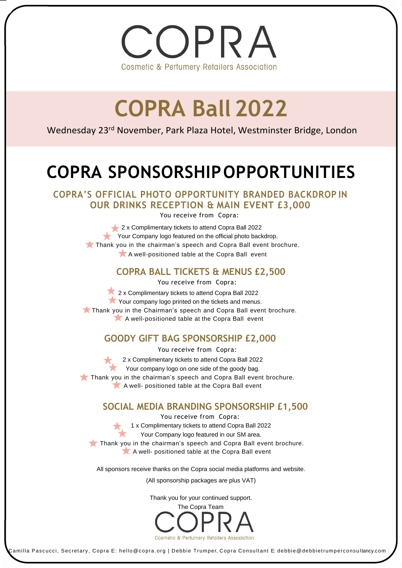

# **COPRA Ball 2022**

Wednesday 23<sup>rd</sup> November, Park Plaza Hotel, Westminster Bridge, London

# **COPRA SPONSORSHIPOPPORTUNITIES**

**COPRA'S OFFICIAL PHOTO OPPORTUNITY BRANDED BACKDROP IN OUR DRINKS RECEPTION & MAIN EVENT £3,000**

You receive from Copra:

2 x Complimentary tickets to attend Copra Ball 2022 Your Company logo featured on the official photo backdrop. Thank you in the chairman's speech and Copra Ball event brochure. A well-positioned table at the Copra Ball event

#### **COPRA BALL TICKETS & MENUS £2,500**

You receive from Copra:

2 x Complimentary tickets to attend Copra Ball 2022 Your company logo printed on the tickets and menus. Thank you in the Chairman's speech and Copra Ball event brochure. A well-positioned table at the Copra Ball event

## **GOODY GIFT BAG SPONSORSHIP £2,000**

You receive from Copra: 2 x Complimentary tickets to attend Copra Ball 2022 Your company logo on one side of the goody bag. Thank you in the chairman's speech and Copra Ball event brochure. A well- positioned table at the Copra Ball event

## **SOCIAL MEDIA BRANDING SPONSORSHIP £1,500**

You receive from Copra: 1 x Complimentary tickets to attend Copra Ball 2022 Your Company logo featured in our SM area. Thank you in the chairman's speech and Copra Ball event brochure. A well- positioned table at the Copra Ball event

All sponsors receive thanks on the Copra social media platforms and website.

(All sponsorship packages are plus VAT)

Thank you for your continued support.